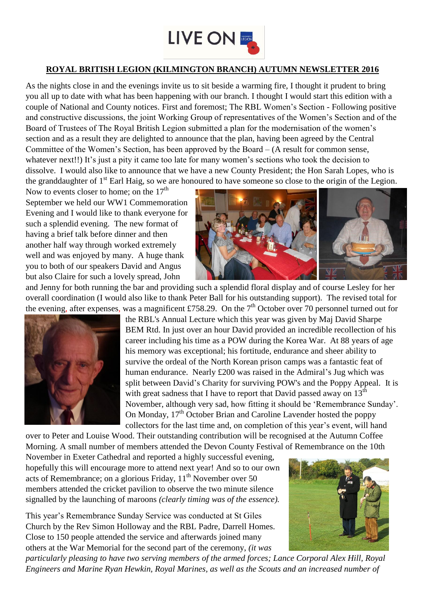

## **ROYAL BRITISH LEGION (KILMINGTON BRANCH) AUTUMN NEWSLETTER 2016**

As the nights close in and the evenings invite us to sit beside a warming fire, I thought it prudent to bring you all up to date with what has been happening with our branch. I thought I would start this edition with a couple of National and County notices. First and foremost; The RBL Women's Section - Following positive and constructive discussions, the joint Working Group of representatives of the Women's Section and of the Board of Trustees of The Royal British Legion submitted a plan for the modernisation of the women's section and as a result they are delighted to announce that the plan, having been agreed by the Central Committee of the Women's Section, has been approved by the Board – (A result for common sense, whatever next!!) It's just a pity it came too late for many women's sections who took the decision to dissolve. I would also like to announce that we have a new County President; the Hon Sarah Lopes, who is the granddaughter of 1<sup>st</sup> Earl Haig, so we are honoured to have someone so close to the origin of the Legion.

Now to events closer to home; on the  $17<sup>th</sup>$ September we held our WW1 Commemoration Evening and I would like to thank everyone for such a splendid evening. The new format of having a brief talk before dinner and then another half way through worked extremely well and was enjoyed by many. A huge thank you to both of our speakers David and Angus but also Claire for such a lovely spread, John



and Jenny for both running the bar and providing such a splendid floral display and of course Lesley for her overall coordination (I would also like to thank Peter Ball for his outstanding support). The revised total for the evening, after expenses, was a magnificent £758.29. On the  $7<sup>th</sup>$  October over 70 personnel turned out for



the RBL's Annual Lecture which this year was given by Maj David Sharpe BEM Rtd. In just over an hour David provided an incredible recollection of his career including his time as a POW during the Korea War. At 88 years of age his memory was exceptional; his fortitude, endurance and sheer ability to survive the ordeal of the North Korean prison camps was a fantastic feat of human endurance. Nearly £200 was raised in the Admiral's Jug which was split between David's Charity for surviving POW's and the Poppy Appeal. It is with great sadness that I have to report that David passed away on  $13<sup>th</sup>$ November, although very sad, how fitting it should be 'Remembrance Sunday'. On Monday,  $17<sup>th</sup>$  October Brian and Caroline Lavender hosted the poppy collectors for the last time and, on completion of this year's event, will hand

over to Peter and Louise Wood. Their outstanding contribution will be recognised at the Autumn Coffee Morning. A small number of members attended the Devon County Festival of Remembrance on the 10th

November in Exeter Cathedral and reported a highly successful evening, hopefully this will encourage more to attend next year! And so to our own acts of Remembrance; on a glorious Friday, 11<sup>th</sup> November over 50 members attended the cricket pavilion to observe the two minute silence signalled by the launching of maroons *(clearly timing was of the essence).* 

This year's Remembrance Sunday Service was conducted at St Giles Church by the Rev Simon Holloway and the RBL Padre, Darrell Homes. Close to 150 people attended the service and afterwards joined many others at the War Memorial for the second part of the ceremony, *(it was* 



*particularly pleasing to have two serving members of the armed forces; Lance Corporal Alex Hill, Royal Engineers and Marine Ryan Hewkin, Royal Marines, as well as the Scouts and an increased number of*